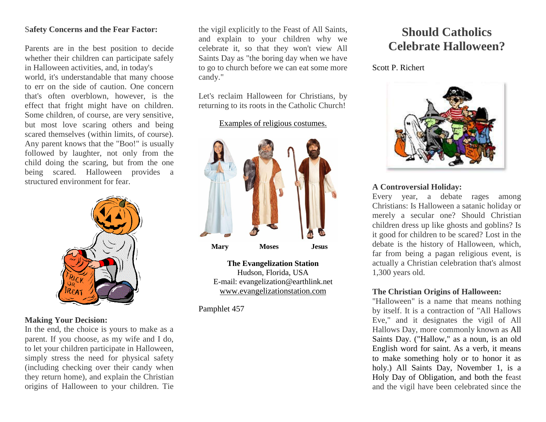#### S**afety Concerns and the Fear Factor:**

Parents are in the best position to decide whether their children can participate safely in Halloween activities, and, in today's world, it's understandable that many choose to err on the side of caution. One concern that's often overblown, however, is the effect that fright might have on children. Some children, of course, are very sensitive, but most love scaring others and being scared themselves (within limits, of course). Any parent knows that the "Boo!" is usually followed by laughter, not only from the child doing the scaring, but from the one being scared. Halloween provides a structured environment for fear.



## **Making Your Decision:**

In the end, the choice is yours to make as a parent. If you choose, as my wife and I do, to let your children participate in Halloween, simply stress the need for physical safety (including checking over their candy when they return home), and explain the Christian origins of Halloween to your children. Tie the vigil explicitly to the Feast of All Saints, and explain to your children why we celebrate it, so that they won't view All Saints Day as "the boring day when we have to go to church before we can eat some more candy."

Let's reclaim Halloween for Christians, by returning to its roots in the Catholic Church!

#### Examples of religious costumes.



**The Evangelization Station** Hudson, Florida, USA E-mail: evangelization@earthlink.net [www.evangelizationstation.com](http://www.pjpiisoe.org/)

Pamphlet 457

# **Should Catholics Celebrate Halloween?**

Scott P. Richert



## **A Controversial Holiday:**

Every year, a debate rages among Christians: Is Halloween a satanic holiday or merely a secular one? Should Christian children dress up like ghosts and goblins? Is it good for children to be scared? Lost in the debate is the history of Halloween, which, far from being a pagan religious event, is actually a Christian celebration that's almost 1,300 years old.

## **The Christian Origins of Halloween:**

"Halloween" is a name that means nothing by itself. It is a contraction of "All Hallows Eve," and it designates the vigil of All Hallows Day, more commonly known as All Saints Day. ("Hallow," as a noun, is an old English word for saint. As a verb, it means to make something holy or to honor it as holy.) All Saints Day, November 1, is a Holy Day of Obligation, and both the feast and the vigil have been celebrated since the